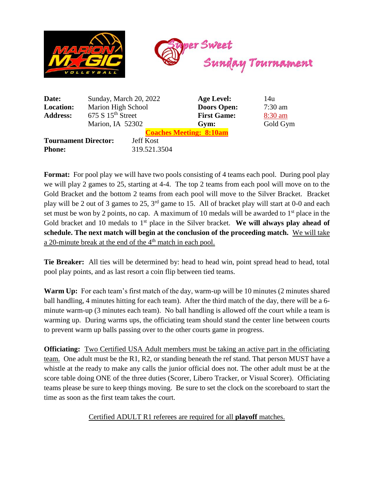

| Date:                          | Sunday, March 20, 2022        |                  | Age Level:         | 14u       |
|--------------------------------|-------------------------------|------------------|--------------------|-----------|
| <b>Location:</b>               | Marion High School            |                  | <b>Doors Open:</b> | $7:30$ am |
| <b>Address:</b>                | 675 S 15 <sup>th</sup> Street |                  | <b>First Game:</b> | $8:30$ am |
|                                | Marion, IA 52302              |                  | Gym:               | Gold Gym  |
| <b>Coaches Meeting: 8:10am</b> |                               |                  |                    |           |
| <b>Tournament Director:</b>    |                               | <b>Jeff Kost</b> |                    |           |
| <b>Phone:</b>                  |                               | 319.521.3504     |                    |           |
|                                |                               |                  |                    |           |

**Format:** For pool play we will have two pools consisting of 4 teams each pool. During pool play we will play 2 games to 25, starting at 4-4. The top 2 teams from each pool will move on to the Gold Bracket and the bottom 2 teams from each pool will move to the Silver Bracket. Bracket play will be 2 out of 3 games to 25, 3rd game to 15. All of bracket play will start at 0-0 and each set must be won by 2 points, no cap. A maximum of 10 medals will be awarded to  $1<sup>st</sup>$  place in the Gold bracket and 10 medals to 1<sup>st</sup> place in the Silver bracket. We will always play ahead of **schedule. The next match will begin at the conclusion of the proceeding match.** We will take a 20-minute break at the end of the  $4<sup>th</sup>$  match in each pool.

**Tie Breaker:** All ties will be determined by: head to head win, point spread head to head, total pool play points, and as last resort a coin flip between tied teams.

**Warm Up:** For each team's first match of the day, warm-up will be 10 minutes (2 minutes shared ball handling, 4 minutes hitting for each team). After the third match of the day, there will be a 6 minute warm-up (3 minutes each team). No ball handling is allowed off the court while a team is warming up. During warms ups, the officiating team should stand the center line between courts to prevent warm up balls passing over to the other courts game in progress.

**Officiating:** Two Certified USA Adult members must be taking an active part in the officiating team. One adult must be the R1, R2, or standing beneath the ref stand. That person MUST have a whistle at the ready to make any calls the junior official does not. The other adult must be at the score table doing ONE of the three duties (Scorer, Libero Tracker, or Visual Scorer). Officiating teams please be sure to keep things moving. Be sure to set the clock on the scoreboard to start the time as soon as the first team takes the court.

## Certified ADULT R1 referees are required for all **playoff** matches.